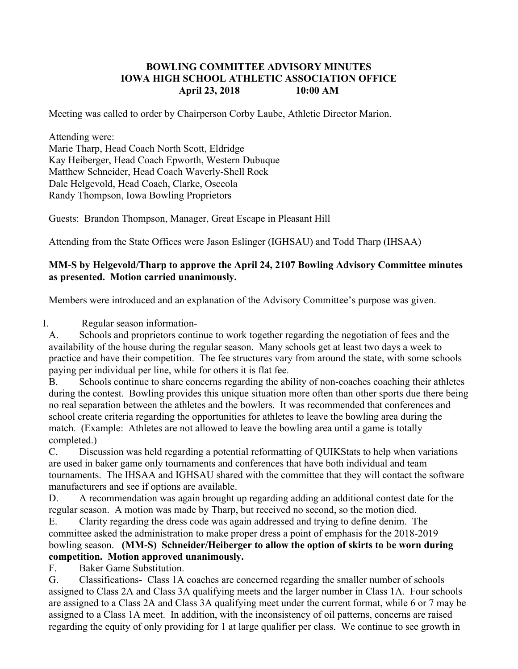## **BOWLING COMMITTEE ADVISORY MINUTES IOWA HIGH SCHOOL ATHLETIC ASSOCIATION OFFICE April 23, 2018 10:00 AM**

Meeting was called to order by Chairperson Corby Laube, Athletic Director Marion.

### Attending were:

Marie Tharp, Head Coach North Scott, Eldridge Kay Heiberger, Head Coach Epworth, Western Dubuque Matthew Schneider, Head Coach Waverly-Shell Rock Dale Helgevold, Head Coach, Clarke, Osceola Randy Thompson, Iowa Bowling Proprietors

Guests: Brandon Thompson, Manager, Great Escape in Pleasant Hill

Attending from the State Offices were Jason Eslinger (IGHSAU) and Todd Tharp (IHSAA)

## **MM-S by Helgevold/Tharp to approve the April 24, 2107 Bowling Advisory Committee minutes as presented. Motion carried unanimously.**

Members were introduced and an explanation of the Advisory Committee's purpose was given.

I. Regular season information-

A. Schools and proprietors continue to work together regarding the negotiation of fees and the availability of the house during the regular season. Many schools get at least two days a week to practice and have their competition. The fee structures vary from around the state, with some schools paying per individual per line, while for others it is flat fee.

B. Schools continue to share concerns regarding the ability of non-coaches coaching their athletes during the contest. Bowling provides this unique situation more often than other sports due there being no real separation between the athletes and the bowlers. It was recommended that conferences and school create criteria regarding the opportunities for athletes to leave the bowling area during the match. (Example: Athletes are not allowed to leave the bowling area until a game is totally completed.)

C. Discussion was held regarding a potential reformatting of QUIKStats to help when variations are used in baker game only tournaments and conferences that have both individual and team tournaments. The IHSAA and IGHSAU shared with the committee that they will contact the software manufacturers and see if options are available.

D. A recommendation was again brought up regarding adding an additional contest date for the regular season. A motion was made by Tharp, but received no second, so the motion died.

E. Clarity regarding the dress code was again addressed and trying to define denim. The committee asked the administration to make proper dress a point of emphasis for the 2018-2019 bowling season. **(MM-S) Schneider/Heiberger to allow the option of skirts to be worn during competition. Motion approved unanimously.**

# F. Baker Game Substitution.

G. Classifications- Class 1A coaches are concerned regarding the smaller number of schools assigned to Class 2A and Class 3A qualifying meets and the larger number in Class 1A. Four schools are assigned to a Class 2A and Class 3A qualifying meet under the current format, while 6 or 7 may be assigned to a Class 1A meet. In addition, with the inconsistency of oil patterns, concerns are raised regarding the equity of only providing for 1 at large qualifier per class. We continue to see growth in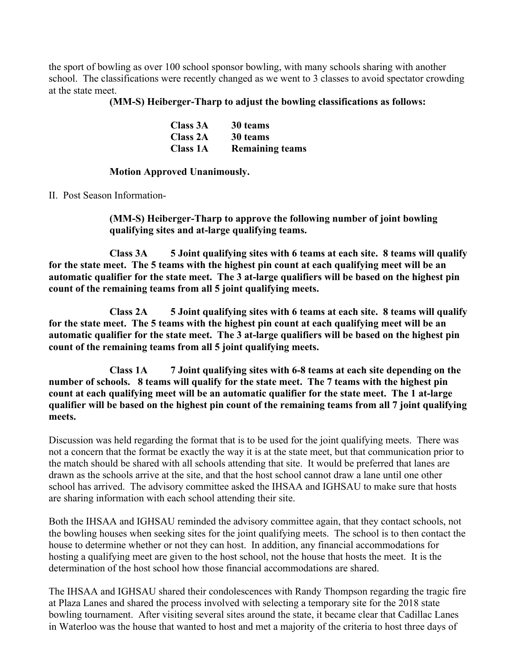the sport of bowling as over 100 school sponsor bowling, with many schools sharing with another school. The classifications were recently changed as we went to 3 classes to avoid spectator crowding at the state meet.

### **(MM-S) Heiberger-Tharp to adjust the bowling classifications as follows:**

| <b>Class 3A</b> | 30 teams               |
|-----------------|------------------------|
| <b>Class 2A</b> | 30 teams               |
| <b>Class 1A</b> | <b>Remaining teams</b> |

### **Motion Approved Unanimously.**

II. Post Season Information-

**(MM-S) Heiberger-Tharp to approve the following number of joint bowling qualifying sites and at-large qualifying teams.**

**Class 3A 5 Joint qualifying sites with 6 teams at each site. 8 teams will qualify for the state meet. The 5 teams with the highest pin count at each qualifying meet will be an automatic qualifier for the state meet. The 3 at-large qualifiers will be based on the highest pin count of the remaining teams from all 5 joint qualifying meets.** 

**Class 2A 5 Joint qualifying sites with 6 teams at each site. 8 teams will qualify for the state meet. The 5 teams with the highest pin count at each qualifying meet will be an automatic qualifier for the state meet. The 3 at-large qualifiers will be based on the highest pin count of the remaining teams from all 5 joint qualifying meets.** 

**Class 1A 7 Joint qualifying sites with 6-8 teams at each site depending on the number of schools. 8 teams will qualify for the state meet. The 7 teams with the highest pin count at each qualifying meet will be an automatic qualifier for the state meet. The 1 at-large qualifier will be based on the highest pin count of the remaining teams from all 7 joint qualifying meets.** 

Discussion was held regarding the format that is to be used for the joint qualifying meets. There was not a concern that the format be exactly the way it is at the state meet, but that communication prior to the match should be shared with all schools attending that site. It would be preferred that lanes are drawn as the schools arrive at the site, and that the host school cannot draw a lane until one other school has arrived. The advisory committee asked the IHSAA and IGHSAU to make sure that hosts are sharing information with each school attending their site.

Both the IHSAA and IGHSAU reminded the advisory committee again, that they contact schools, not the bowling houses when seeking sites for the joint qualifying meets. The school is to then contact the house to determine whether or not they can host. In addition, any financial accommodations for hosting a qualifying meet are given to the host school, not the house that hosts the meet. It is the determination of the host school how those financial accommodations are shared.

The IHSAA and IGHSAU shared their condolescences with Randy Thompson regarding the tragic fire at Plaza Lanes and shared the process involved with selecting a temporary site for the 2018 state bowling tournament. After visiting several sites around the state, it became clear that Cadillac Lanes in Waterloo was the house that wanted to host and met a majority of the criteria to host three days of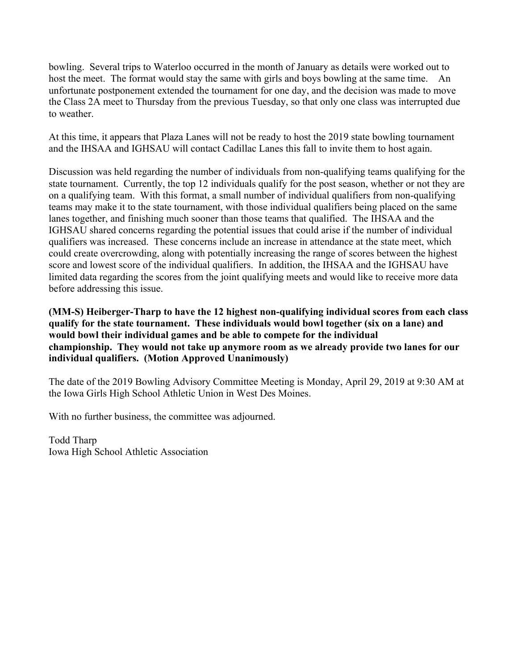bowling. Several trips to Waterloo occurred in the month of January as details were worked out to host the meet. The format would stay the same with girls and boys bowling at the same time. An unfortunate postponement extended the tournament for one day, and the decision was made to move the Class 2A meet to Thursday from the previous Tuesday, so that only one class was interrupted due to weather.

At this time, it appears that Plaza Lanes will not be ready to host the 2019 state bowling tournament and the IHSAA and IGHSAU will contact Cadillac Lanes this fall to invite them to host again.

Discussion was held regarding the number of individuals from non-qualifying teams qualifying for the state tournament. Currently, the top 12 individuals qualify for the post season, whether or not they are on a qualifying team. With this format, a small number of individual qualifiers from non-qualifying teams may make it to the state tournament, with those individual qualifiers being placed on the same lanes together, and finishing much sooner than those teams that qualified. The IHSAA and the IGHSAU shared concerns regarding the potential issues that could arise if the number of individual qualifiers was increased. These concerns include an increase in attendance at the state meet, which could create overcrowding, along with potentially increasing the range of scores between the highest score and lowest score of the individual qualifiers. In addition, the IHSAA and the IGHSAU have limited data regarding the scores from the joint qualifying meets and would like to receive more data before addressing this issue.

**(MM-S) Heiberger-Tharp to have the 12 highest non-qualifying individual scores from each class qualify for the state tournament. These individuals would bowl together (six on a lane) and would bowl their individual games and be able to compete for the individual championship. They would not take up anymore room as we already provide two lanes for our individual qualifiers. (Motion Approved Unanimously)**

The date of the 2019 Bowling Advisory Committee Meeting is Monday, April 29, 2019 at 9:30 AM at the Iowa Girls High School Athletic Union in West Des Moines.

With no further business, the committee was adjourned.

Todd Tharp Iowa High School Athletic Association